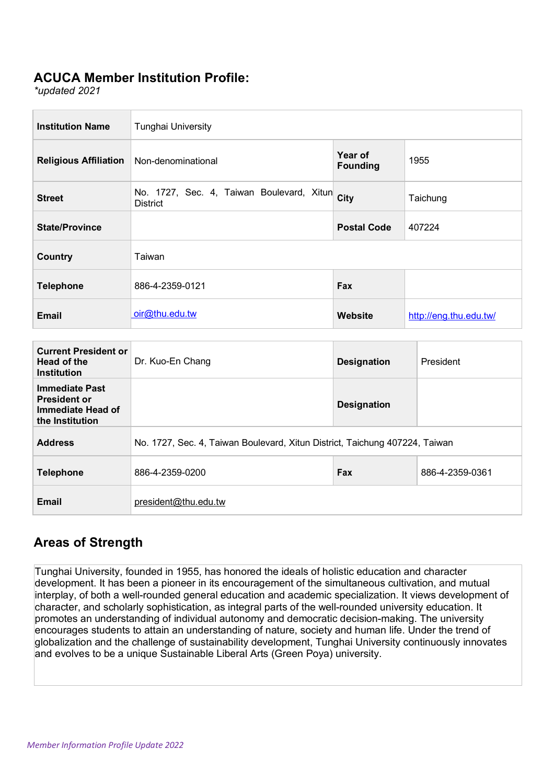#### **ACUCA Member Institution Profile:**

*\*updated 2021*

| <b>Institution Name</b>      | <b>Tunghai University</b>                                    |                            |                        |
|------------------------------|--------------------------------------------------------------|----------------------------|------------------------|
| <b>Religious Affiliation</b> | Non-denominational                                           | Year of<br><b>Founding</b> | 1955                   |
| <b>Street</b>                | No. 1727, Sec. 4, Taiwan Boulevard, Xitun<br><b>District</b> | City                       | Taichung               |
| <b>State/Province</b>        |                                                              | <b>Postal Code</b>         | 407224                 |
| <b>Country</b>               | Taiwan                                                       |                            |                        |
| <b>Telephone</b>             | 886-4-2359-0121                                              | Fax                        |                        |
| <b>Email</b>                 | oir@thu.edu.tw                                               | <b>Website</b>             | http://eng.thu.edu.tw/ |

| <b>Current President or</b><br>Head of the<br><b>Institution</b>                     | Dr. Kuo-En Chang                                                            | <b>Designation</b> | President       |
|--------------------------------------------------------------------------------------|-----------------------------------------------------------------------------|--------------------|-----------------|
| <b>Immediate Past</b><br><b>President or</b><br>Immediate Head of<br>the Institution |                                                                             | <b>Designation</b> |                 |
| <b>Address</b>                                                                       | No. 1727, Sec. 4, Taiwan Boulevard, Xitun District, Taichung 407224, Taiwan |                    |                 |
| <b>Telephone</b>                                                                     | 886-4-2359-0200                                                             | Fax                | 886-4-2359-0361 |
| <b>Email</b>                                                                         | president@thu.edu.tw                                                        |                    |                 |

### **Areas of Strength**

Tunghai University, founded in 1955, has honored the ideals of holistic education and character development. It has been a pioneer in its encouragement of the simultaneous cultivation, and mutual interplay, of both a well-rounded general education and academic specialization. It views development of character, and scholarly sophistication, as integral parts of the well-rounded university education. It promotes an understanding of individual autonomy and democratic decision-making. The university encourages students to attain an understanding of nature, society and human life. Under the trend of globalization and the challenge of sustainability development, Tunghai University continuously innovates and evolves to be a unique Sustainable Liberal Arts (Green Poya) university.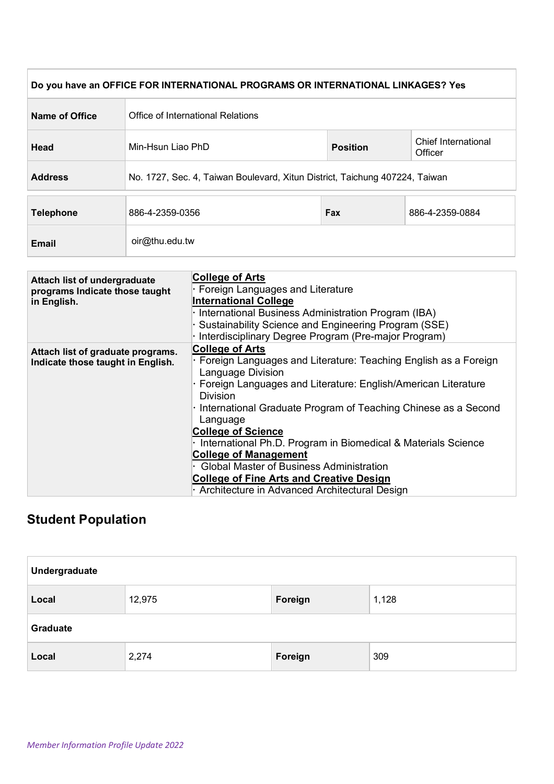|                  | Do you have an OFFICE FOR INTERNATIONAL PROGRAMS OR INTERNATIONAL LINKAGES? Yes |                 |                                |
|------------------|---------------------------------------------------------------------------------|-----------------|--------------------------------|
| Name of Office   | Office of International Relations                                               |                 |                                |
| Head             | Min-Hsun Liao PhD                                                               | <b>Position</b> | Chief International<br>Officer |
| <b>Address</b>   | No. 1727, Sec. 4, Taiwan Boulevard, Xitun District, Taichung 407224, Taiwan     |                 |                                |
| <b>Telephone</b> | 886-4-2359-0356                                                                 | Fax             | 886-4-2359-0884                |
| <b>Email</b>     | oir@thu.edu.tw                                                                  |                 |                                |

| Attach list of undergraduate      | <b>College of Arts</b>                                            |
|-----------------------------------|-------------------------------------------------------------------|
| programs Indicate those taught    | · Foreign Languages and Literature                                |
| in English.                       | <b>International College</b>                                      |
|                                   | · International Business Administration Program (IBA)             |
|                                   | · Sustainability Science and Engineering Program (SSE)            |
|                                   | · Interdisciplinary Degree Program (Pre-major Program)            |
| Attach list of graduate programs. | <b>College of Arts</b>                                            |
| Indicate those taught in English. | · Foreign Languages and Literature: Teaching English as a Foreign |
|                                   | Language Division                                                 |
|                                   | · Foreign Languages and Literature: English/American Literature   |
|                                   | <b>Division</b>                                                   |
|                                   | · International Graduate Program of Teaching Chinese as a Second  |
|                                   | Language                                                          |
|                                   | <b>College of Science</b>                                         |
|                                   | · International Ph.D. Program in Biomedical & Materials Science   |
|                                   | <b>College of Management</b>                                      |
|                                   | <b>Global Master of Business Administration</b>                   |
|                                   | <b>College of Fine Arts and Creative Design</b>                   |
|                                   | · Architecture in Advanced Architectural Design                   |

# **Student Population**

| Undergraduate   |        |         |       |
|-----------------|--------|---------|-------|
| Local           | 12,975 | Foreign | 1,128 |
| <b>Graduate</b> |        |         |       |
| Local           | 2,274  | Foreign | 309   |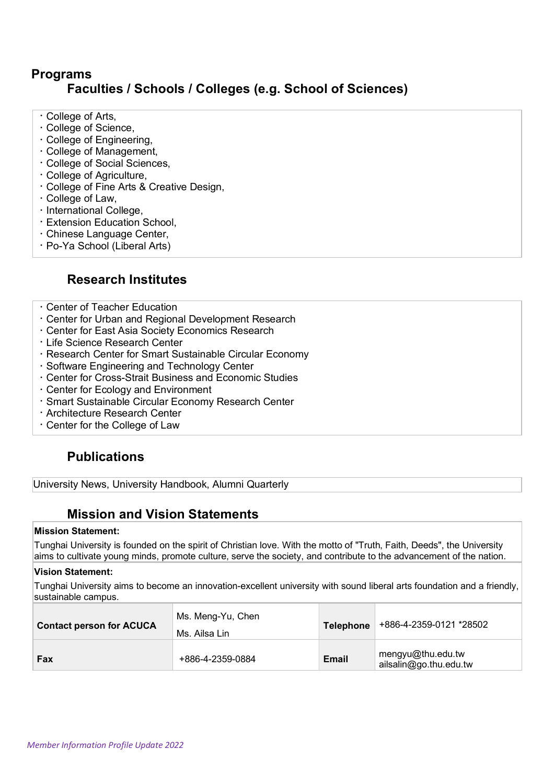### **Programs Faculties / Schools / Colleges (e.g. School of Sciences)**

- College of Arts,
- College of Science,
- College of Engineering,
- College of Management,
- College of Social Sciences,
- College of Agriculture,
- College of Fine Arts & Creative Design,
- College of Law,
- · International College,
- Extension Education School,
- Chinese Language Center,
- Po-Ya School (Liberal Arts)

#### **Research Institutes**

- Center of Teacher Education
- Center for Urban and Regional Development Research
- Center for East Asia Society Economics Research
- Life Science Research Center
- Research Center for Smart Sustainable Circular Economy
- Software Engineering and Technology Center
- Center for Cross-Strait Business and Economic Studies
- Center for Ecology and Environment
- Smart Sustainable Circular Economy Research Center
- Architecture Research Center
- Center for the College of Law

### **Publications**

University News, University Handbook, Alumni Quarterly

#### **Mission and Vision Statements**

#### **Mission Statement:**

Tunghai University is founded on the spirit of Christian love. With the motto of "Truth, Faith, Deeds", the University aims to cultivate young minds, promote culture, serve the society, and contribute to the advancement of the nation.

#### **Vision Statement:**

Tunghai University aims to become an innovation-excellent university with sound liberal arts foundation and a friendly, sustainable campus.

| <b>Contact person for ACUCA</b> | Ms. Meng-Yu, Chen<br>Ms. Ailsa Lin | Telephone | +886-4-2359-0121 *28502                     |
|---------------------------------|------------------------------------|-----------|---------------------------------------------|
| Fax                             | +886-4-2359-0884                   | Email     | mengyu@thu.edu.tw<br>ailsalin@go.thu.edu.tw |